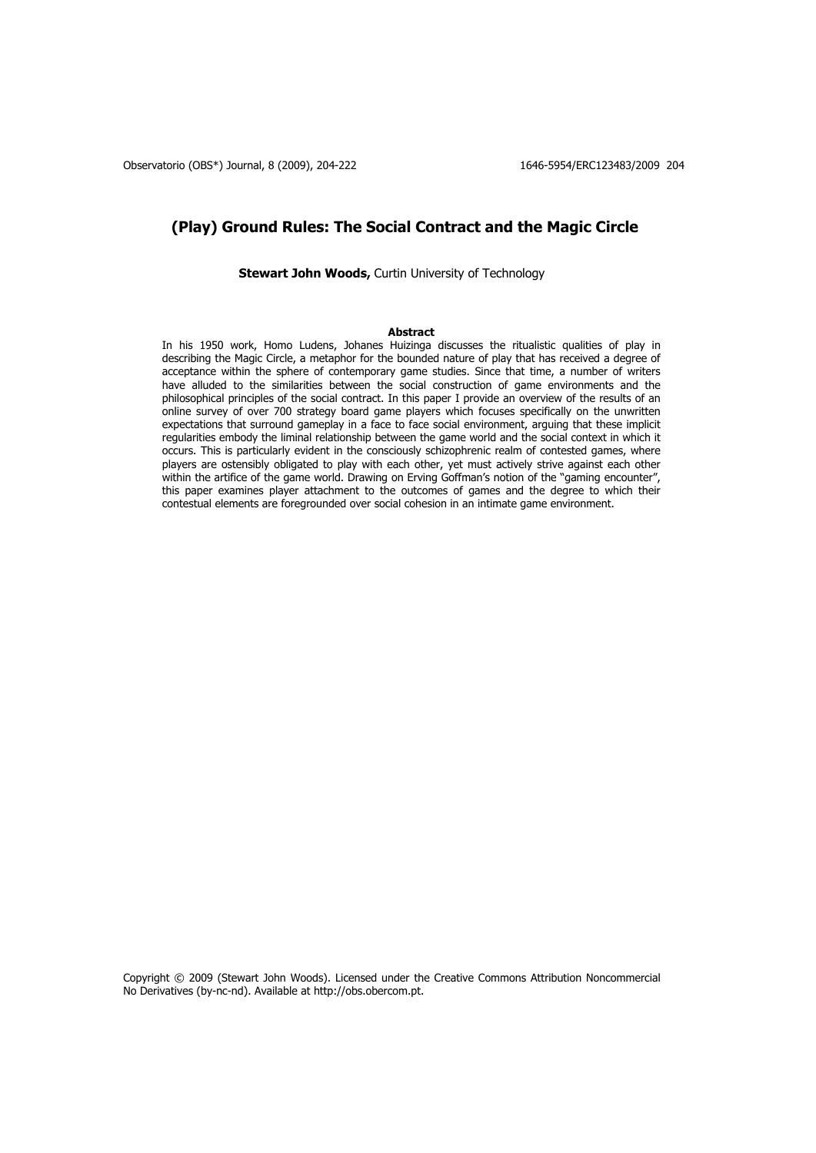# **(Play) Ground Rules: The Social Contract and the Magic Circle**

**Stewart John Woods, Curtin University of Technology** 

### **Abstract**

In his 1950 work, Homo Ludens, Johanes Huizinga discusses the ritualistic qualities of play in describing the Magic Circle, a metaphor for the bounded nature of play that has received a degree of acceptance within the sphere of contemporary game studies. Since that time, a number of writers have alluded to the similarities between the social construction of game environments and the philosophical principles of the social contract. In this paper I provide an overview of the results of an online survey of over 700 strategy board game players which focuses specifically on the unwritten expectations that surround gameplay in a face to face social environment, arguing that these implicit regularities embody the liminal relationship between the game world and the social context in which it occurs. This is particularly evident in the consciously schizophrenic realm of contested games, where players are ostensibly obligated to play with each other, yet must actively strive against each other within the artifice of the game world. Drawing on Erving Goffman's notion of the "gaming encounter", this paper examines player attachment to the outcomes of games and the degree to which their contestual elements are foregrounded over social cohesion in an intimate game environment.

Copyright © 2009 (Stewart John Woods). Licensed under the Creative Commons Attribution Noncommercial No Derivatives (by-nc-nd). Available at http://obs.obercom.pt.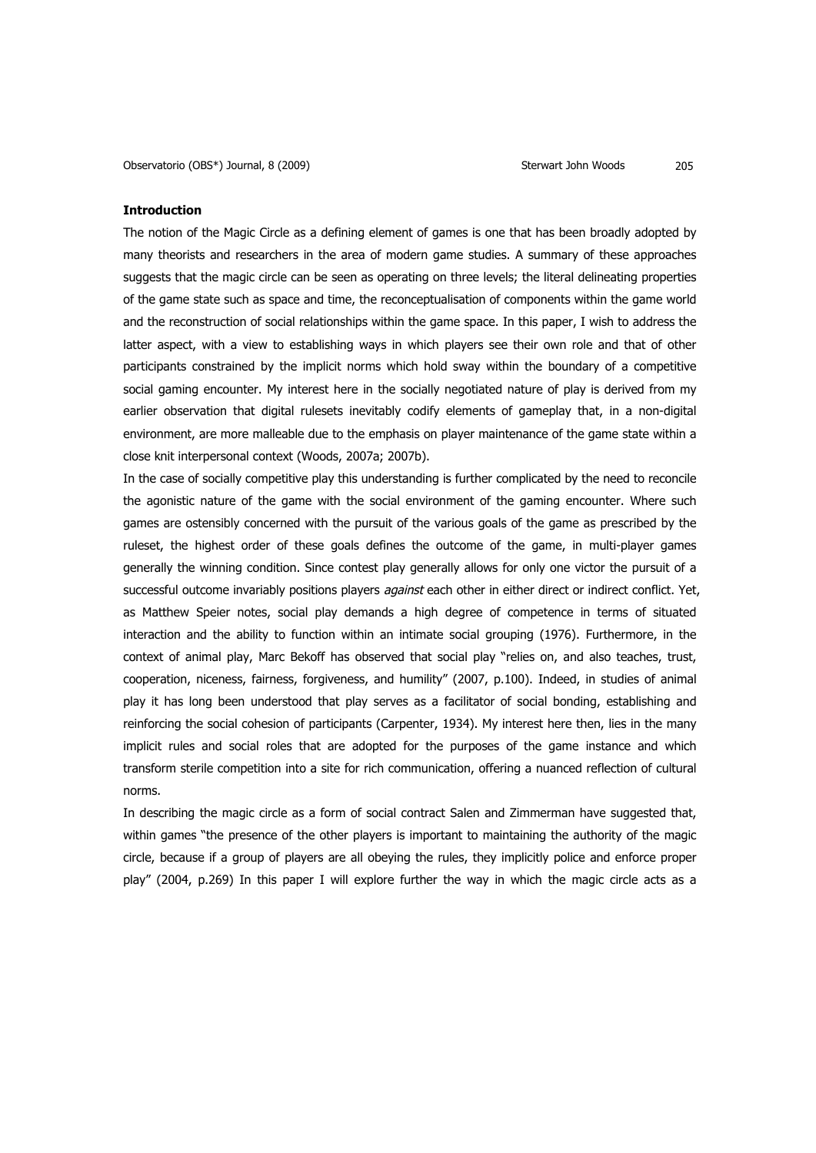## **Introduction**

The notion of the Magic Circle as a defining element of games is one that has been broadly adopted by many theorists and researchers in the area of modern game studies. A summary of these approaches suggests that the magic circle can be seen as operating on three levels; the literal delineating properties of the game state such as space and time, the reconceptualisation of components within the game world and the reconstruction of social relationships within the game space. In this paper, I wish to address the latter aspect, with a view to establishing ways in which players see their own role and that of other participants constrained by the implicit norms which hold sway within the boundary of a competitive social gaming encounter. My interest here in the socially negotiated nature of play is derived from my earlier observation that digital rulesets inevitably codify elements of gameplay that, in a non-digital environment, are more malleable due to the emphasis on player maintenance of the game state within a close knit interpersonal context (Woods, 2007a; 2007b).

In the case of socially competitive play this understanding is further complicated by the need to reconcile the agonistic nature of the game with the social environment of the gaming encounter. Where such games are ostensibly concerned with the pursuit of the various goals of the game as prescribed by the ruleset, the highest order of these goals defines the outcome of the game, in multi-player games generally the winning condition. Since contest play generally allows for only one victor the pursuit of a successful outcome invariably positions players *against* each other in either direct or indirect conflict. Yet, as Matthew Speier notes, social play demands a high degree of competence in terms of situated interaction and the ability to function within an intimate social grouping (1976). Furthermore, in the context of animal play, Marc Bekoff has observed that social play "relies on, and also teaches, trust, cooperation, niceness, fairness, forgiveness, and humility" (2007, p.100). Indeed, in studies of animal play it has long been understood that play serves as a facilitator of social bonding, establishing and reinforcing the social cohesion of participants (Carpenter, 1934). My interest here then, lies in the many implicit rules and social roles that are adopted for the purposes of the game instance and which transform sterile competition into a site for rich communication, offering a nuanced reflection of cultural norms.

In describing the magic circle as a form of social contract Salen and Zimmerman have suggested that, within games "the presence of the other players is important to maintaining the authority of the magic circle, because if a group of players are all obeying the rules, they implicitly police and enforce proper play" (2004, p.269) In this paper I will explore further the way in which the magic circle acts as a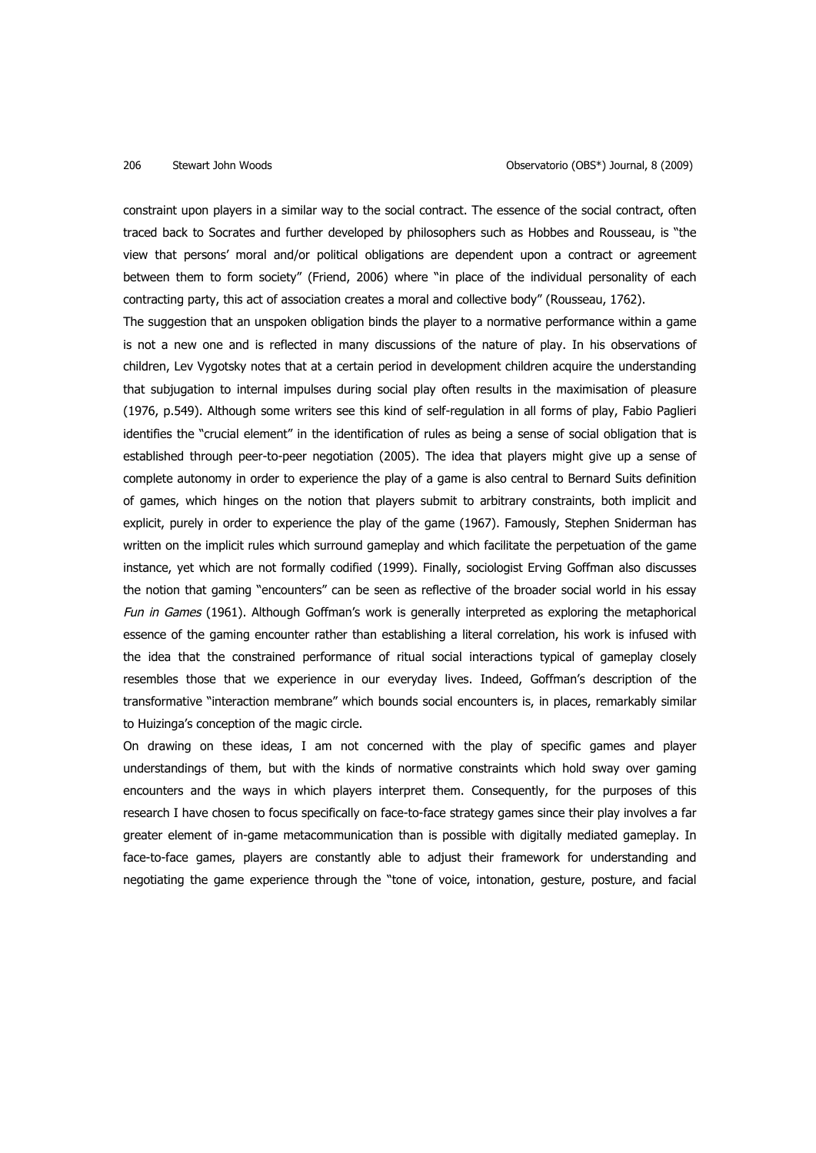constraint upon players in a similar way to the social contract. The essence of the social contract, often traced back to Socrates and further developed by philosophers such as Hobbes and Rousseau, is "the view that persons' moral and/or political obligations are dependent upon a contract or agreement between them to form society" (Friend, 2006) where "in place of the individual personality of each contracting party, this act of association creates a moral and collective body" (Rousseau, 1762).

The suggestion that an unspoken obligation binds the player to a normative performance within a game is not a new one and is reflected in many discussions of the nature of play. In his observations of children, Lev Vygotsky notes that at a certain period in development children acquire the understanding that subjugation to internal impulses during social play often results in the maximisation of pleasure (1976, p.549). Although some writers see this kind of self-regulation in all forms of play, Fabio Paglieri identifies the "crucial element" in the identification of rules as being a sense of social obligation that is established through peer-to-peer negotiation (2005). The idea that players might give up a sense of complete autonomy in order to experience the play of a game is also central to Bernard Suits definition of games, which hinges on the notion that players submit to arbitrary constraints, both implicit and explicit, purely in order to experience the play of the game (1967). Famously, Stephen Sniderman has written on the implicit rules which surround gameplay and which facilitate the perpetuation of the game instance, yet which are not formally codified (1999). Finally, sociologist Erving Goffman also discusses the notion that gaming "encounters" can be seen as reflective of the broader social world in his essay Fun in Games (1961). Although Goffman's work is generally interpreted as exploring the metaphorical essence of the gaming encounter rather than establishing a literal correlation, his work is infused with the idea that the constrained performance of ritual social interactions typical of gameplay closely resembles those that we experience in our everyday lives. Indeed, Goffman's description of the transformative "interaction membrane" which bounds social encounters is, in places, remarkably similar to Huizinga's conception of the magic circle.

On drawing on these ideas, I am not concerned with the play of specific games and player understandings of them, but with the kinds of normative constraints which hold sway over gaming encounters and the ways in which players interpret them. Consequently, for the purposes of this research I have chosen to focus specifically on face-to-face strategy games since their play involves a far greater element of in-game metacommunication than is possible with digitally mediated gameplay. In face-to-face games, players are constantly able to adjust their framework for understanding and negotiating the game experience through the "tone of voice, intonation, gesture, posture, and facial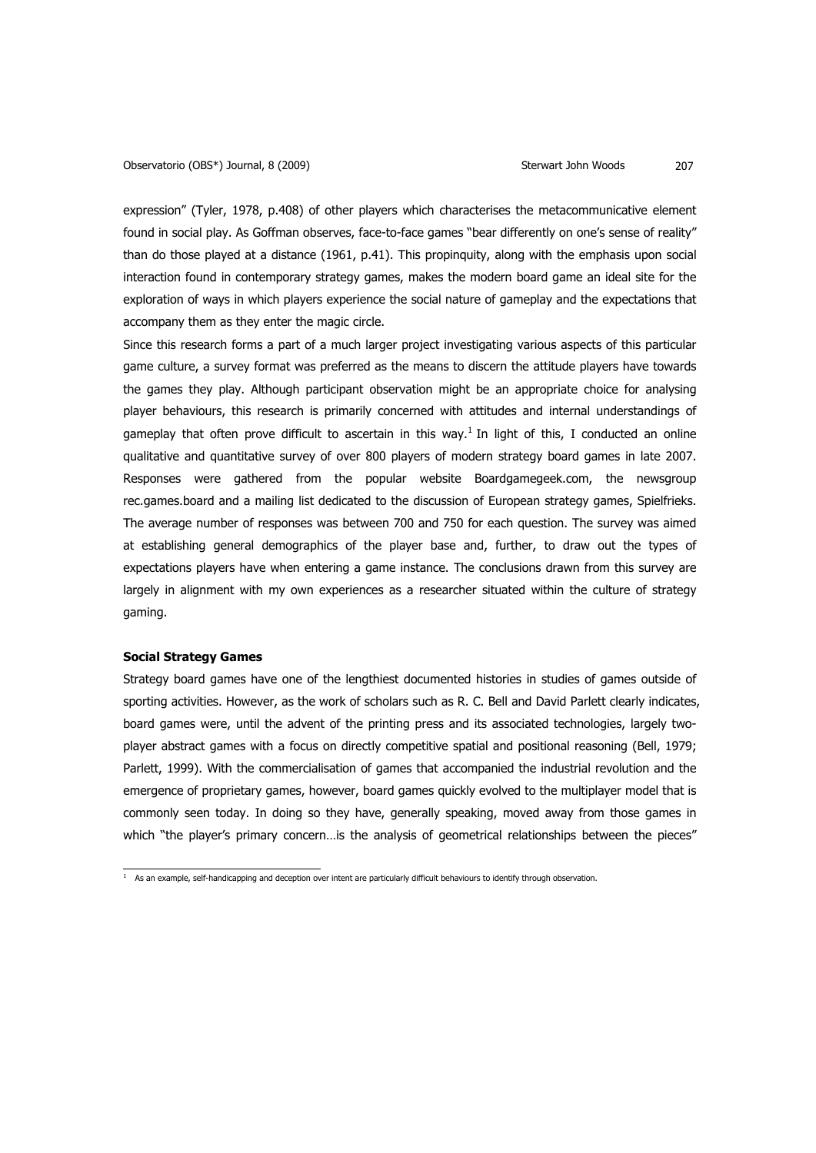expression" (Tyler, 1978, p.408) of other players which characterises the metacommunicative element found in social play. As Goffman observes, face-to-face games "bear differently on one's sense of reality" than do those played at a distance (1961, p.41). This propinquity, along with the emphasis upon social interaction found in contemporary strategy games, makes the modern board game an ideal site for the exploration of ways in which players experience the social nature of gameplay and the expectations that accompany them as they enter the magic circle.

Since this research forms a part of a much larger project investigating various aspects of this particular game culture, a survey format was preferred as the means to discern the attitude players have towards the games they play. Although participant observation might be an appropriate choice for analysing player behaviours, this research is primarily concerned with attitudes and internal understandings of gameplay that often prove difficult to ascertain in this way.<sup>1</sup> In light of this, I conducted an online qualitative and quantitative survey of over 800 players of modern strategy board games in late 2007. Responses were gathered from the popular website Boardgamegeek.com, the newsgroup rec.games.board and a mailing list dedicated to the discussion of European strategy games, Spielfrieks. The average number of responses was between 700 and 750 for each question. The survey was aimed at establishing general demographics of the player base and, further, to draw out the types of expectations players have when entering a game instance. The conclusions drawn from this survey are largely in alignment with my own experiences as a researcher situated within the culture of strategy gaming.

## **Social Strategy Games**

Strategy board games have one of the lengthiest documented histories in studies of games outside of sporting activities. However, as the work of scholars such as R. C. Bell and David Parlett clearly indicates, board games were, until the advent of the printing press and its associated technologies, largely twoplayer abstract games with a focus on directly competitive spatial and positional reasoning (Bell, 1979; Parlett, 1999). With the commercialisation of games that accompanied the industrial revolution and the emergence of proprietary games, however, board games quickly evolved to the multiplayer model that is commonly seen today. In doing so they have, generally speaking, moved away from those games in which "the player's primary concern...is the analysis of geometrical relationships between the pieces"

<sup>&</sup>lt;sup>1</sup> As an example, self-handicapping and deception over intent are particularly difficult behaviours to identify through observation.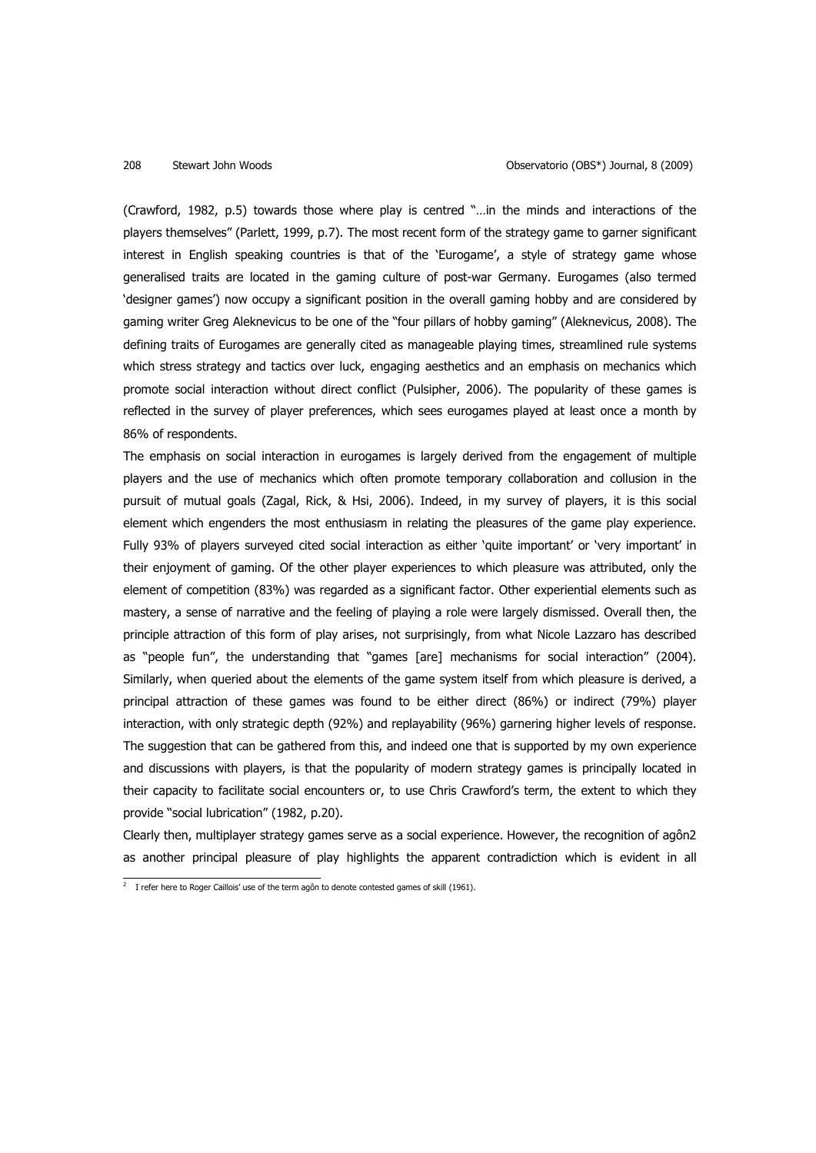(Crawford, 1982, p.5) towards those where play is centred "…in the minds and interactions of the players themselves" (Parlett, 1999, p.7). The most recent form of the strategy game to garner significant interest in English speaking countries is that of the 'Eurogame', a style of strategy game whose generalised traits are located in the gaming culture of post-war Germany. Eurogames (also termed 'designer games') now occupy a significant position in the overall gaming hobby and are considered by gaming writer Greg Aleknevicus to be one of the "four pillars of hobby gaming" (Aleknevicus, 2008). The defining traits of Eurogames are generally cited as manageable playing times, streamlined rule systems which stress strategy and tactics over luck, engaging aesthetics and an emphasis on mechanics which promote social interaction without direct conflict (Pulsipher, 2006). The popularity of these games is reflected in the survey of player preferences, which sees eurogames played at least once a month by 86% of respondents.

The emphasis on social interaction in eurogames is largely derived from the engagement of multiple players and the use of mechanics which often promote temporary collaboration and collusion in the pursuit of mutual goals (Zagal, Rick, & Hsi, 2006). Indeed, in my survey of players, it is this social element which engenders the most enthusiasm in relating the pleasures of the game play experience. Fully 93% of players surveyed cited social interaction as either 'quite important' or 'very important' in their enjoyment of gaming. Of the other player experiences to which pleasure was attributed, only the element of competition (83%) was regarded as a significant factor. Other experiential elements such as mastery, a sense of narrative and the feeling of playing a role were largely dismissed. Overall then, the principle attraction of this form of play arises, not surprisingly, from what Nicole Lazzaro has described as "people fun", the understanding that "games [are] mechanisms for social interaction" (2004). Similarly, when queried about the elements of the game system itself from which pleasure is derived, a principal attraction of these games was found to be either direct (86%) or indirect (79%) player interaction, with only strategic depth (92%) and replayability (96%) garnering higher levels of response. The suggestion that can be gathered from this, and indeed one that is supported by my own experience and discussions with players, is that the popularity of modern strategy games is principally located in their capacity to facilitate social encounters or, to use Chris Crawford's term, the extent to which they provide "social lubrication" (1982, p.20).

Clearly then, multiplayer strategy games serve as a social experience. However, the recognition of agôn2 as another principal pleasure of play highlights the apparent contradiction which is evident in all

<sup>&</sup>lt;sup>2</sup> I refer here to Roger Caillois' use of the term agôn to denote contested games of skill (1961).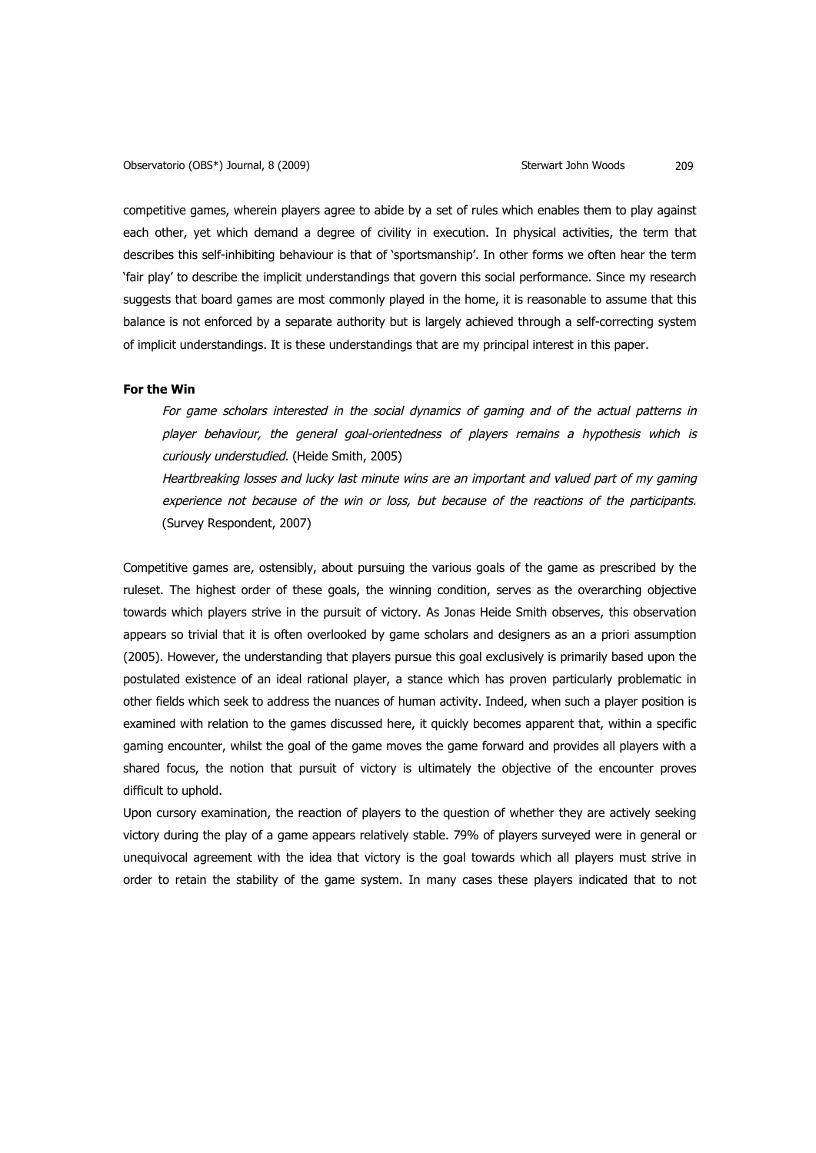competitive games, wherein players agree to abide by a set of rules which enables them to play against each other, yet which demand a degree of civility in execution. In physical activities, the term that describes this self-inhibiting behaviour is that of 'sportsmanship'. In other forms we often hear the term 'fair play' to describe the implicit understandings that govern this social performance. Since my research suggests that board games are most commonly played in the home, it is reasonable to assume that this balance is not enforced by a separate authority but is largely achieved through a self-correcting system of implicit understandings. It is these understandings that are my principal interest in this paper.

## **For the Win**

For game scholars interested in the social dynamics of gaming and of the actual patterns in player behaviour, the general goal-orientedness of players remains a hypothesis which is curiously understudied. (Heide Smith, 2005)

Heartbreaking losses and lucky last minute wins are an important and valued part of my gaming experience not because of the win or loss, but because of the reactions of the participants. (Survey Respondent, 2007)

Competitive games are, ostensibly, about pursuing the various goals of the game as prescribed by the ruleset. The highest order of these goals, the winning condition, serves as the overarching objective towards which players strive in the pursuit of victory. As Jonas Heide Smith observes, this observation appears so trivial that it is often overlooked by game scholars and designers as an a priori assumption (2005). However, the understanding that players pursue this goal exclusively is primarily based upon the postulated existence of an ideal rational player, a stance which has proven particularly problematic in other fields which seek to address the nuances of human activity. Indeed, when such a player position is examined with relation to the games discussed here, it quickly becomes apparent that, within a specific gaming encounter, whilst the goal of the game moves the game forward and provides all players with a shared focus, the notion that pursuit of victory is ultimately the objective of the encounter proves difficult to uphold.

Upon cursory examination, the reaction of players to the question of whether they are actively seeking victory during the play of a game appears relatively stable. 79% of players surveyed were in general or unequivocal agreement with the idea that victory is the goal towards which all players must strive in order to retain the stability of the game system. In many cases these players indicated that to not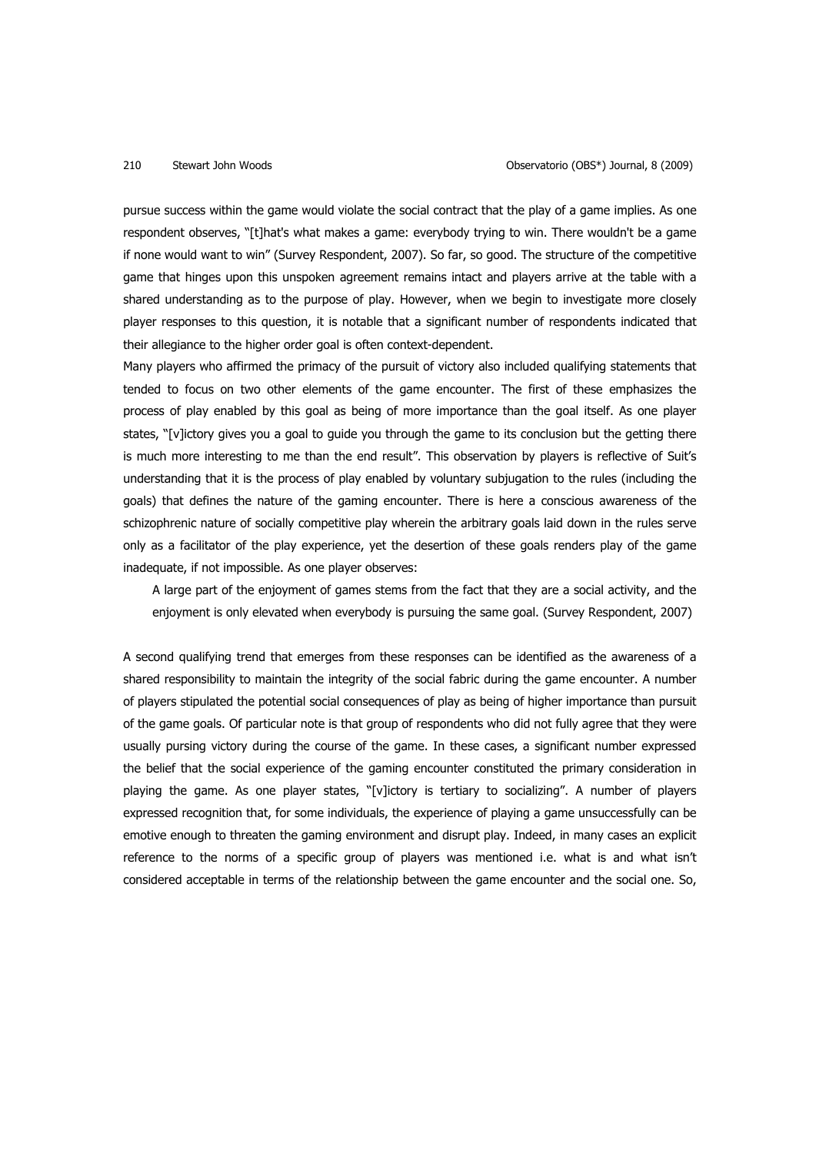pursue success within the game would violate the social contract that the play of a game implies. As one respondent observes, "[t]hat's what makes a game: everybody trying to win. There wouldn't be a game if none would want to win" (Survey Respondent, 2007). So far, so good. The structure of the competitive game that hinges upon this unspoken agreement remains intact and players arrive at the table with a shared understanding as to the purpose of play. However, when we begin to investigate more closely player responses to this question, it is notable that a significant number of respondents indicated that their allegiance to the higher order goal is often context-dependent.

Many players who affirmed the primacy of the pursuit of victory also included qualifying statements that tended to focus on two other elements of the game encounter. The first of these emphasizes the process of play enabled by this goal as being of more importance than the goal itself. As one player states, "[v]ictory gives you a goal to guide you through the game to its conclusion but the getting there is much more interesting to me than the end result". This observation by players is reflective of Suit's understanding that it is the process of play enabled by voluntary subjugation to the rules (including the goals) that defines the nature of the gaming encounter. There is here a conscious awareness of the schizophrenic nature of socially competitive play wherein the arbitrary goals laid down in the rules serve only as a facilitator of the play experience, yet the desertion of these goals renders play of the game inadequate, if not impossible. As one player observes:

A large part of the enjoyment of games stems from the fact that they are a social activity, and the enjoyment is only elevated when everybody is pursuing the same goal. (Survey Respondent, 2007)

A second qualifying trend that emerges from these responses can be identified as the awareness of a shared responsibility to maintain the integrity of the social fabric during the game encounter. A number of players stipulated the potential social consequences of play as being of higher importance than pursuit of the game goals. Of particular note is that group of respondents who did not fully agree that they were usually pursing victory during the course of the game. In these cases, a significant number expressed the belief that the social experience of the gaming encounter constituted the primary consideration in playing the game. As one player states, "[v]ictory is tertiary to socializing". A number of players expressed recognition that, for some individuals, the experience of playing a game unsuccessfully can be emotive enough to threaten the gaming environment and disrupt play. Indeed, in many cases an explicit reference to the norms of a specific group of players was mentioned i.e. what is and what isn't considered acceptable in terms of the relationship between the game encounter and the social one. So,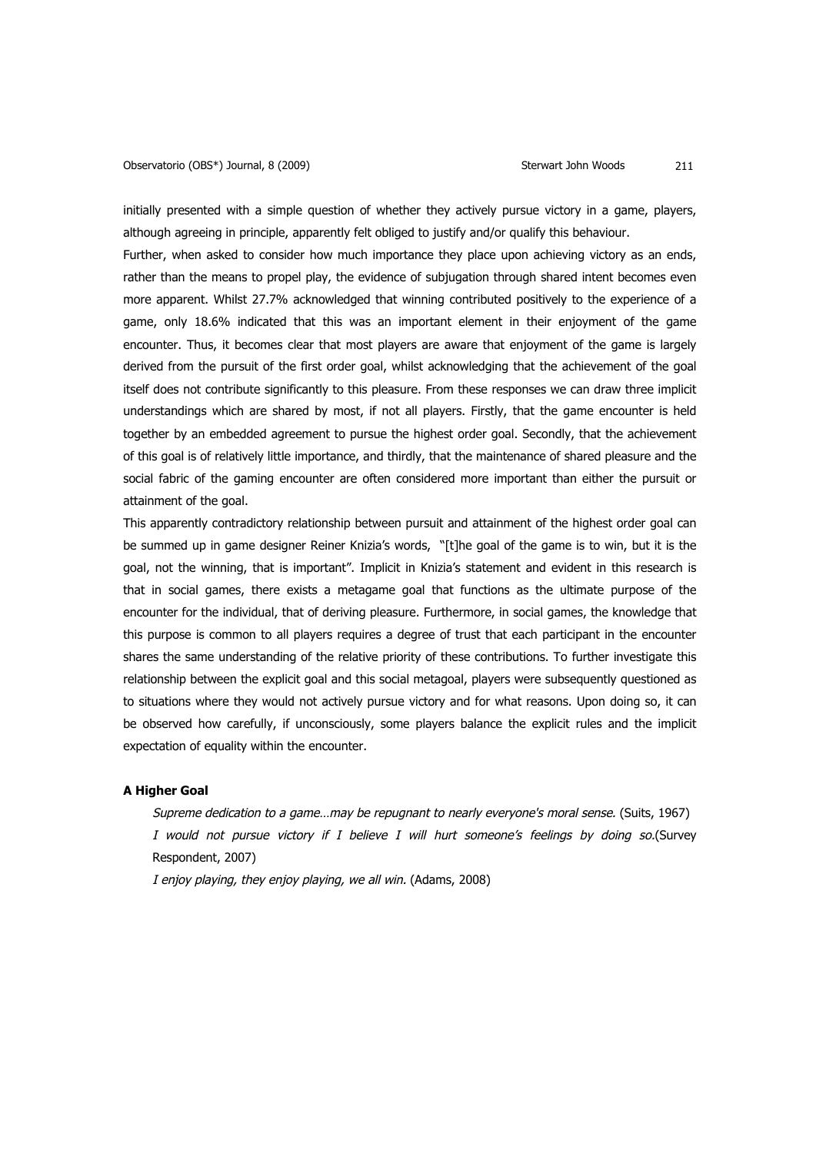initially presented with a simple question of whether they actively pursue victory in a game, players, although agreeing in principle, apparently felt obliged to justify and/or qualify this behaviour.

Further, when asked to consider how much importance they place upon achieving victory as an ends, rather than the means to propel play, the evidence of subjugation through shared intent becomes even more apparent. Whilst 27.7% acknowledged that winning contributed positively to the experience of a game, only 18.6% indicated that this was an important element in their enjoyment of the game encounter. Thus, it becomes clear that most players are aware that enjoyment of the game is largely derived from the pursuit of the first order goal, whilst acknowledging that the achievement of the goal itself does not contribute significantly to this pleasure. From these responses we can draw three implicit understandings which are shared by most, if not all players. Firstly, that the game encounter is held together by an embedded agreement to pursue the highest order goal. Secondly, that the achievement of this goal is of relatively little importance, and thirdly, that the maintenance of shared pleasure and the social fabric of the gaming encounter are often considered more important than either the pursuit or attainment of the goal.

This apparently contradictory relationship between pursuit and attainment of the highest order goal can be summed up in game designer Reiner Knizia's words, "[t]he goal of the game is to win, but it is the goal, not the winning, that is important". Implicit in Knizia's statement and evident in this research is that in social games, there exists a metagame goal that functions as the ultimate purpose of the encounter for the individual, that of deriving pleasure. Furthermore, in social games, the knowledge that this purpose is common to all players requires a degree of trust that each participant in the encounter shares the same understanding of the relative priority of these contributions. To further investigate this relationship between the explicit goal and this social metagoal, players were subsequently questioned as to situations where they would not actively pursue victory and for what reasons. Upon doing so, it can be observed how carefully, if unconsciously, some players balance the explicit rules and the implicit expectation of equality within the encounter.

## **A Higher Goal**

Supreme dedication to a game…may be repugnant to nearly everyone's moral sense. (Suits, 1967) I would not pursue victory if I believe I will hurt someone's feelings by doing so.(Survey Respondent, 2007)

I enjoy playing, they enjoy playing, we all win. (Adams, 2008)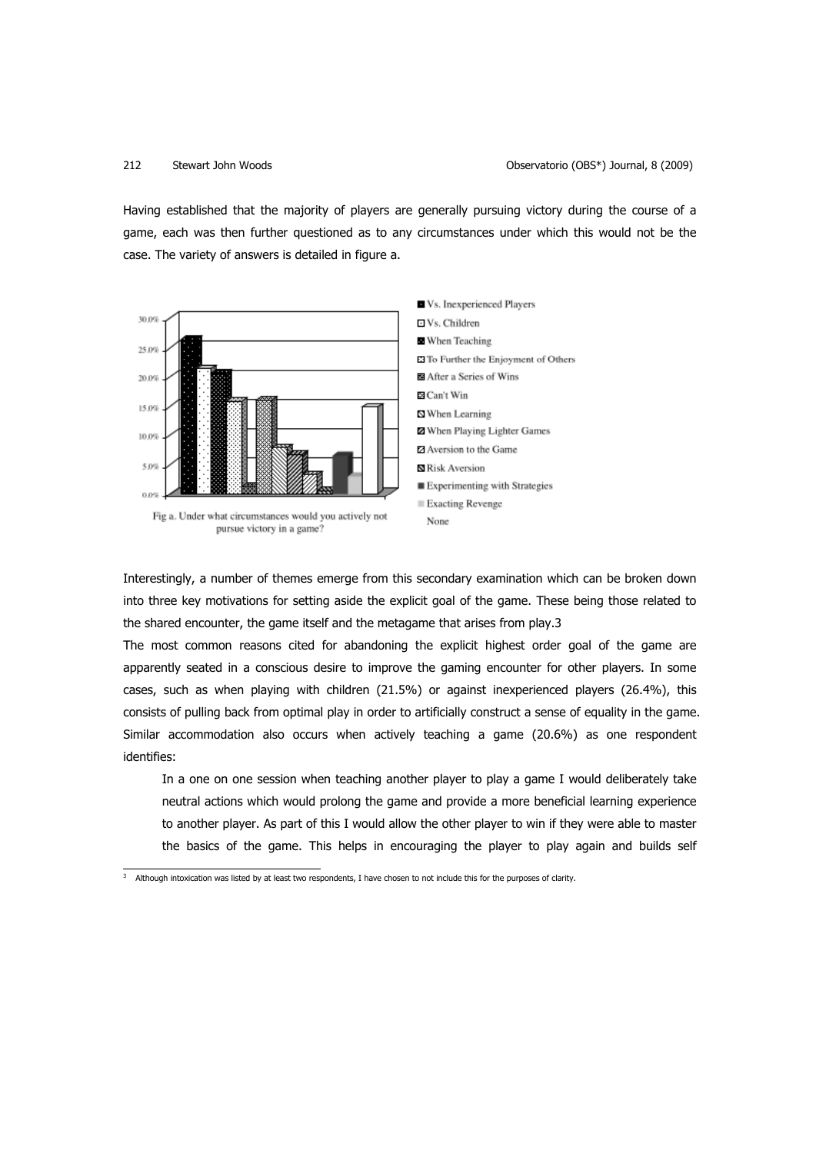Having established that the majority of players are generally pursuing victory during the course of a game, each was then further questioned as to any circumstances under which this would not be the case. The variety of answers is detailed in figure a.



Interestingly, a number of themes emerge from this secondary examination which can be broken down into three key motivations for setting aside the explicit goal of the game. These being those related to the shared encounter, the game itself and the metagame that arises from play.3

The most common reasons cited for abandoning the explicit highest order goal of the game are apparently seated in a conscious desire to improve the gaming encounter for other players. In some cases, such as when playing with children (21.5%) or against inexperienced players (26.4%), this consists of pulling back from optimal play in order to artificially construct a sense of equality in the game. Similar accommodation also occurs when actively teaching a game (20.6%) as one respondent identifies:

In a one on one session when teaching another player to play a game I would deliberately take neutral actions which would prolong the game and provide a more beneficial learning experience to another player. As part of this I would allow the other player to win if they were able to master the basics of the game. This helps in encouraging the player to play again and builds self

 <sup>3</sup> Although intoxication was listed by at least two respondents, I have chosen to not include this for the purposes of clarity.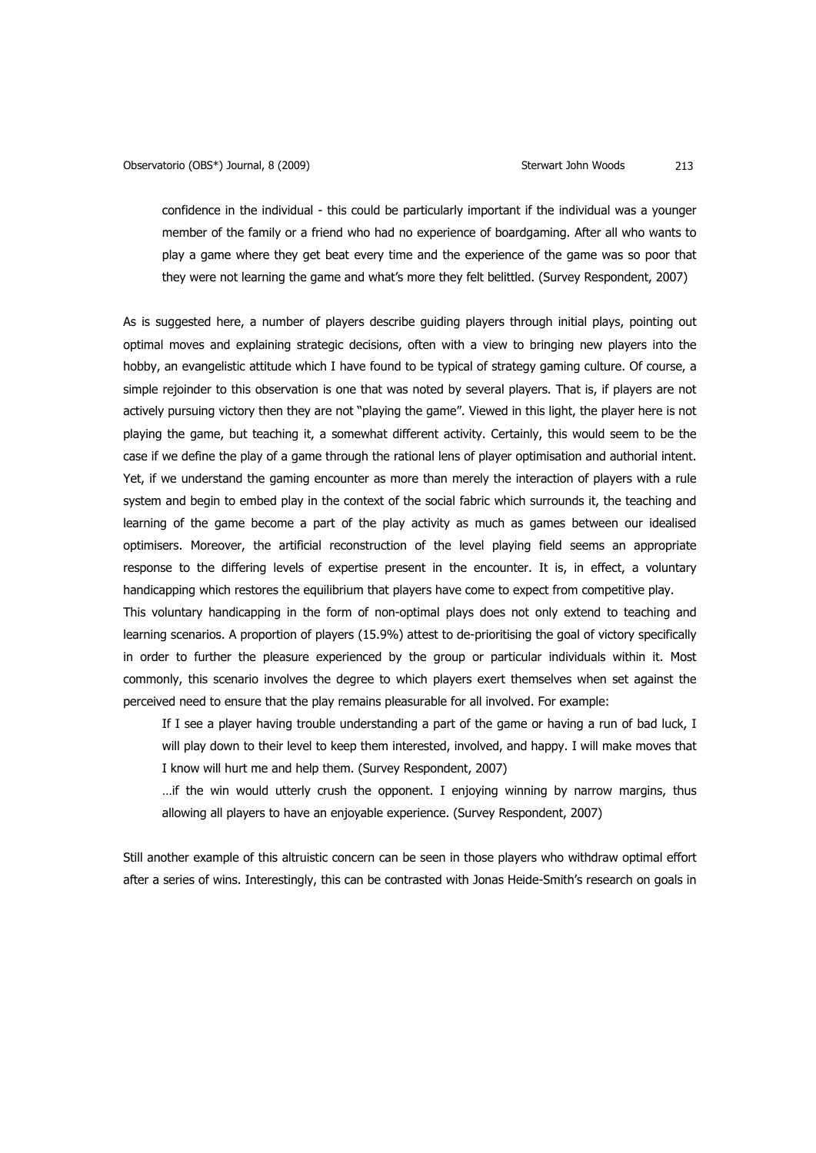confidence in the individual - this could be particularly important if the individual was a younger member of the family or a friend who had no experience of boardgaming. After all who wants to play a game where they get beat every time and the experience of the game was so poor that they were not learning the game and what's more they felt belittled. (Survey Respondent, 2007)

As is suggested here, a number of players describe guiding players through initial plays, pointing out optimal moves and explaining strategic decisions, often with a view to bringing new players into the hobby, an evangelistic attitude which I have found to be typical of strategy gaming culture. Of course, a simple rejoinder to this observation is one that was noted by several players. That is, if players are not actively pursuing victory then they are not "playing the game". Viewed in this light, the player here is not playing the game, but teaching it, a somewhat different activity. Certainly, this would seem to be the case if we define the play of a game through the rational lens of player optimisation and authorial intent. Yet, if we understand the gaming encounter as more than merely the interaction of players with a rule system and begin to embed play in the context of the social fabric which surrounds it, the teaching and learning of the game become a part of the play activity as much as games between our idealised optimisers. Moreover, the artificial reconstruction of the level playing field seems an appropriate response to the differing levels of expertise present in the encounter. It is, in effect, a voluntary handicapping which restores the equilibrium that players have come to expect from competitive play.

This voluntary handicapping in the form of non-optimal plays does not only extend to teaching and learning scenarios. A proportion of players (15.9%) attest to de-prioritising the goal of victory specifically in order to further the pleasure experienced by the group or particular individuals within it. Most commonly, this scenario involves the degree to which players exert themselves when set against the perceived need to ensure that the play remains pleasurable for all involved. For example:

If I see a player having trouble understanding a part of the game or having a run of bad luck, I will play down to their level to keep them interested, involved, and happy. I will make moves that I know will hurt me and help them. (Survey Respondent, 2007)

…if the win would utterly crush the opponent. I enjoying winning by narrow margins, thus allowing all players to have an enjoyable experience. (Survey Respondent, 2007)

Still another example of this altruistic concern can be seen in those players who withdraw optimal effort after a series of wins. Interestingly, this can be contrasted with Jonas Heide-Smith's research on goals in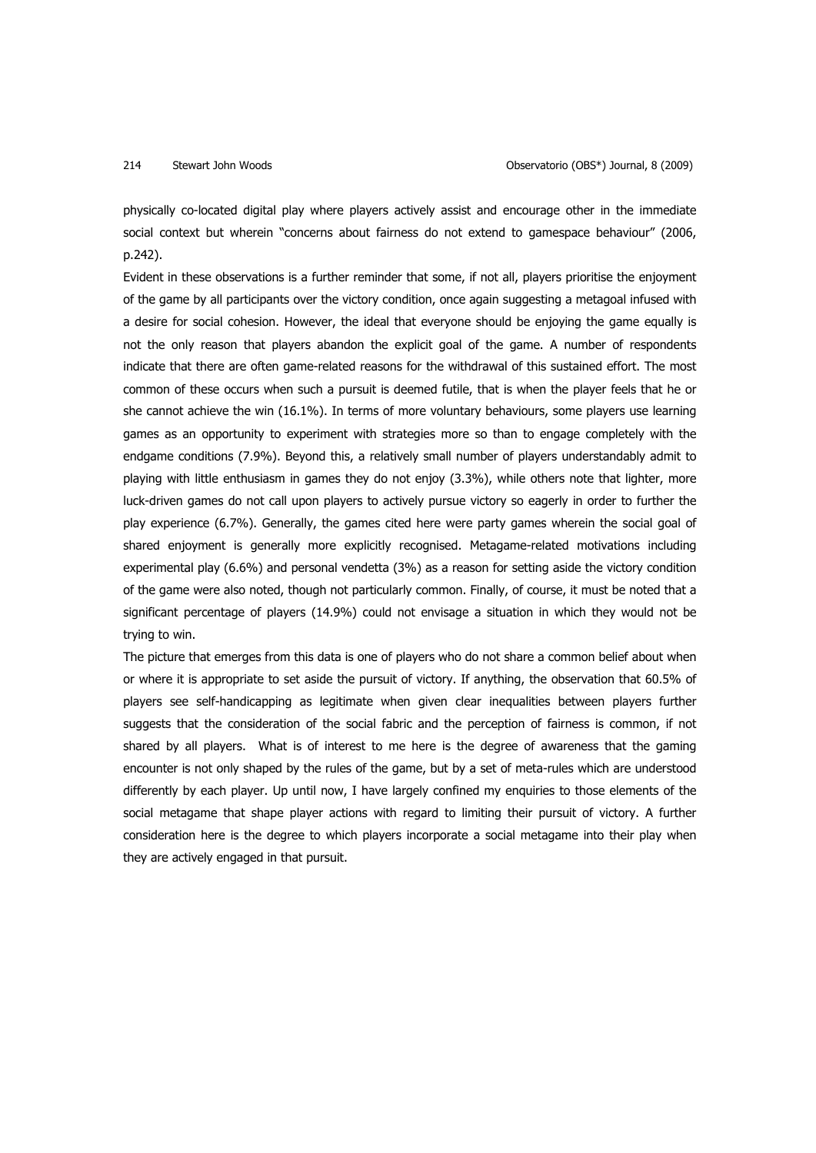physically co-located digital play where players actively assist and encourage other in the immediate social context but wherein "concerns about fairness do not extend to gamespace behaviour" (2006, p.242).

Evident in these observations is a further reminder that some, if not all, players prioritise the enjoyment of the game by all participants over the victory condition, once again suggesting a metagoal infused with a desire for social cohesion. However, the ideal that everyone should be enjoying the game equally is not the only reason that players abandon the explicit goal of the game. A number of respondents indicate that there are often game-related reasons for the withdrawal of this sustained effort. The most common of these occurs when such a pursuit is deemed futile, that is when the player feels that he or she cannot achieve the win (16.1%). In terms of more voluntary behaviours, some players use learning games as an opportunity to experiment with strategies more so than to engage completely with the endgame conditions (7.9%). Beyond this, a relatively small number of players understandably admit to playing with little enthusiasm in games they do not enjoy (3.3%), while others note that lighter, more luck-driven games do not call upon players to actively pursue victory so eagerly in order to further the play experience (6.7%). Generally, the games cited here were party games wherein the social goal of shared enjoyment is generally more explicitly recognised. Metagame-related motivations including experimental play (6.6%) and personal vendetta (3%) as a reason for setting aside the victory condition of the game were also noted, though not particularly common. Finally, of course, it must be noted that a significant percentage of players (14.9%) could not envisage a situation in which they would not be trying to win.

The picture that emerges from this data is one of players who do not share a common belief about when or where it is appropriate to set aside the pursuit of victory. If anything, the observation that 60.5% of players see self-handicapping as legitimate when given clear inequalities between players further suggests that the consideration of the social fabric and the perception of fairness is common, if not shared by all players. What is of interest to me here is the degree of awareness that the gaming encounter is not only shaped by the rules of the game, but by a set of meta-rules which are understood differently by each player. Up until now, I have largely confined my enquiries to those elements of the social metagame that shape player actions with regard to limiting their pursuit of victory. A further consideration here is the degree to which players incorporate a social metagame into their play when they are actively engaged in that pursuit.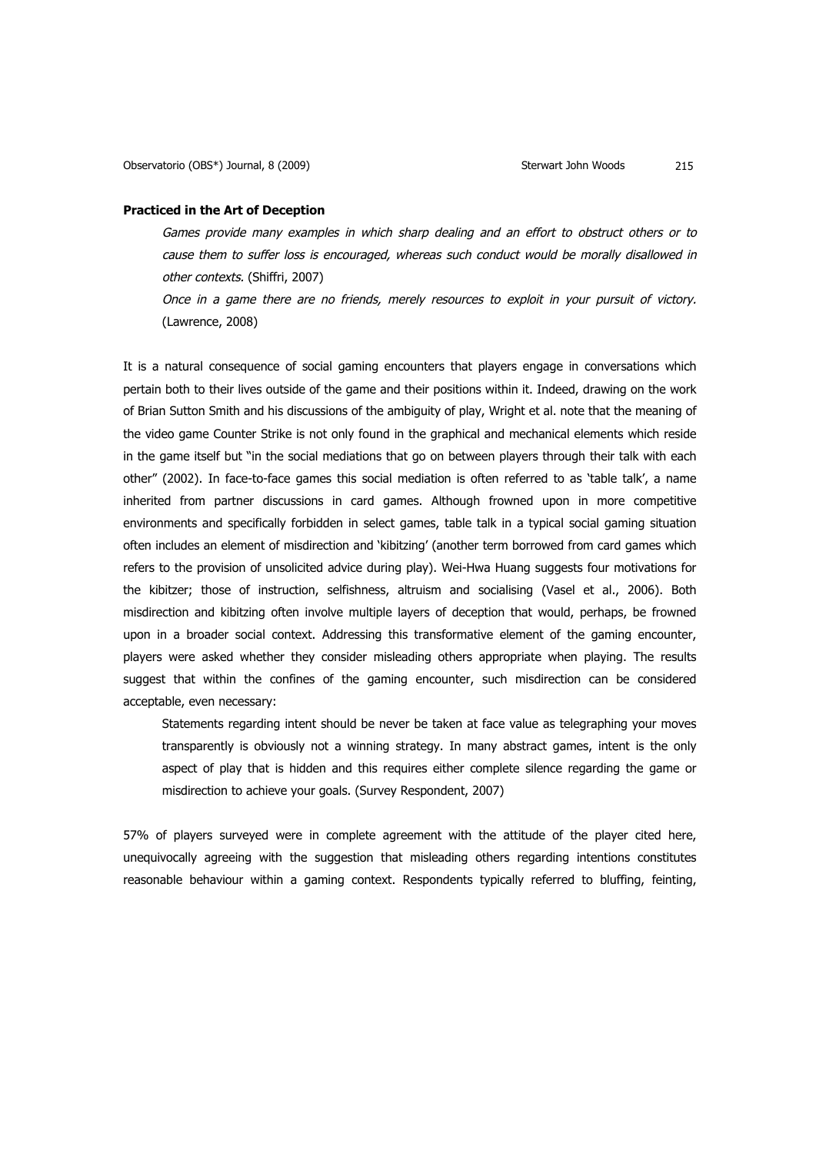### **Practiced in the Art of Deception**

Games provide many examples in which sharp dealing and an effort to obstruct others or to cause them to suffer loss is encouraged, whereas such conduct would be morally disallowed in other contexts. (Shiffri, 2007)

Once in a game there are no friends, merely resources to exploit in your pursuit of victory. (Lawrence, 2008)

It is a natural consequence of social gaming encounters that players engage in conversations which pertain both to their lives outside of the game and their positions within it. Indeed, drawing on the work of Brian Sutton Smith and his discussions of the ambiguity of play, Wright et al. note that the meaning of the video game Counter Strike is not only found in the graphical and mechanical elements which reside in the game itself but "in the social mediations that go on between players through their talk with each other" (2002). In face-to-face games this social mediation is often referred to as 'table talk', a name inherited from partner discussions in card games. Although frowned upon in more competitive environments and specifically forbidden in select games, table talk in a typical social gaming situation often includes an element of misdirection and 'kibitzing' (another term borrowed from card games which refers to the provision of unsolicited advice during play). Wei-Hwa Huang suggests four motivations for the kibitzer; those of instruction, selfishness, altruism and socialising (Vasel et al., 2006). Both misdirection and kibitzing often involve multiple layers of deception that would, perhaps, be frowned upon in a broader social context. Addressing this transformative element of the gaming encounter, players were asked whether they consider misleading others appropriate when playing. The results suggest that within the confines of the gaming encounter, such misdirection can be considered acceptable, even necessary:

Statements regarding intent should be never be taken at face value as telegraphing your moves transparently is obviously not a winning strategy. In many abstract games, intent is the only aspect of play that is hidden and this requires either complete silence regarding the game or misdirection to achieve your goals. (Survey Respondent, 2007)

57% of players surveyed were in complete agreement with the attitude of the player cited here, unequivocally agreeing with the suggestion that misleading others regarding intentions constitutes reasonable behaviour within a gaming context. Respondents typically referred to bluffing, feinting,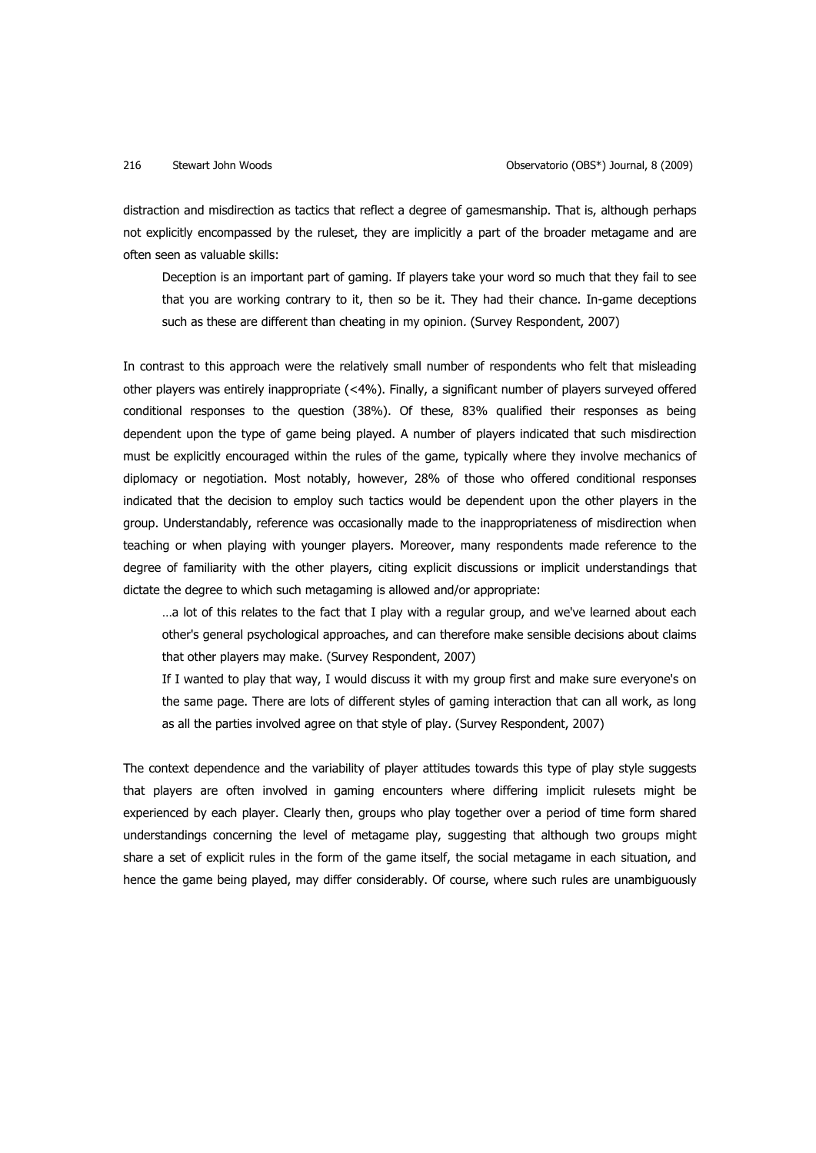distraction and misdirection as tactics that reflect a degree of gamesmanship. That is, although perhaps not explicitly encompassed by the ruleset, they are implicitly a part of the broader metagame and are often seen as valuable skills:

Deception is an important part of gaming. If players take your word so much that they fail to see that you are working contrary to it, then so be it. They had their chance. In-game deceptions such as these are different than cheating in my opinion. (Survey Respondent, 2007)

In contrast to this approach were the relatively small number of respondents who felt that misleading other players was entirely inappropriate (<4%). Finally, a significant number of players surveyed offered conditional responses to the question (38%). Of these, 83% qualified their responses as being dependent upon the type of game being played. A number of players indicated that such misdirection must be explicitly encouraged within the rules of the game, typically where they involve mechanics of diplomacy or negotiation. Most notably, however, 28% of those who offered conditional responses indicated that the decision to employ such tactics would be dependent upon the other players in the group. Understandably, reference was occasionally made to the inappropriateness of misdirection when teaching or when playing with younger players. Moreover, many respondents made reference to the degree of familiarity with the other players, citing explicit discussions or implicit understandings that dictate the degree to which such metagaming is allowed and/or appropriate:

…a lot of this relates to the fact that I play with a regular group, and we've learned about each other's general psychological approaches, and can therefore make sensible decisions about claims that other players may make. (Survey Respondent, 2007)

If I wanted to play that way, I would discuss it with my group first and make sure everyone's on the same page. There are lots of different styles of gaming interaction that can all work, as long as all the parties involved agree on that style of play. (Survey Respondent, 2007)

The context dependence and the variability of player attitudes towards this type of play style suggests that players are often involved in gaming encounters where differing implicit rulesets might be experienced by each player. Clearly then, groups who play together over a period of time form shared understandings concerning the level of metagame play, suggesting that although two groups might share a set of explicit rules in the form of the game itself, the social metagame in each situation, and hence the game being played, may differ considerably. Of course, where such rules are unambiguously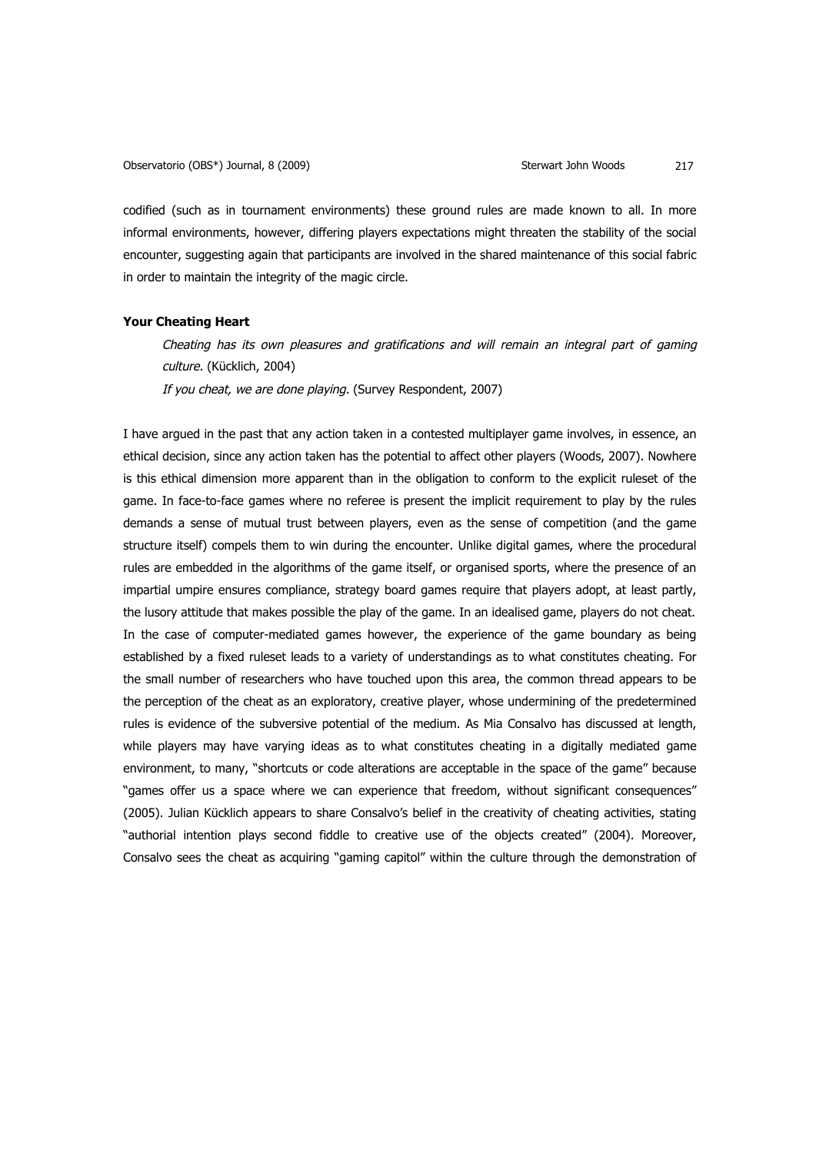codified (such as in tournament environments) these ground rules are made known to all. In more informal environments, however, differing players expectations might threaten the stability of the social encounter, suggesting again that participants are involved in the shared maintenance of this social fabric in order to maintain the integrity of the magic circle.

## **Your Cheating Heart**

Cheating has its own pleasures and gratifications and will remain an integral part of gaming culture. (Kücklich, 2004) If you cheat, we are done playing. (Survey Respondent, 2007)

I have argued in the past that any action taken in a contested multiplayer game involves, in essence, an ethical decision, since any action taken has the potential to affect other players (Woods, 2007). Nowhere is this ethical dimension more apparent than in the obligation to conform to the explicit ruleset of the game. In face-to-face games where no referee is present the implicit requirement to play by the rules demands a sense of mutual trust between players, even as the sense of competition (and the game structure itself) compels them to win during the encounter. Unlike digital games, where the procedural rules are embedded in the algorithms of the game itself, or organised sports, where the presence of an impartial umpire ensures compliance, strategy board games require that players adopt, at least partly, the lusory attitude that makes possible the play of the game. In an idealised game, players do not cheat. In the case of computer-mediated games however, the experience of the game boundary as being established by a fixed ruleset leads to a variety of understandings as to what constitutes cheating. For the small number of researchers who have touched upon this area, the common thread appears to be the perception of the cheat as an exploratory, creative player, whose undermining of the predetermined rules is evidence of the subversive potential of the medium. As Mia Consalvo has discussed at length, while players may have varying ideas as to what constitutes cheating in a digitally mediated game environment, to many, "shortcuts or code alterations are acceptable in the space of the game" because "games offer us a space where we can experience that freedom, without significant consequences" (2005). Julian Kücklich appears to share Consalvo's belief in the creativity of cheating activities, stating "authorial intention plays second fiddle to creative use of the objects created" (2004). Moreover, Consalvo sees the cheat as acquiring "gaming capitol" within the culture through the demonstration of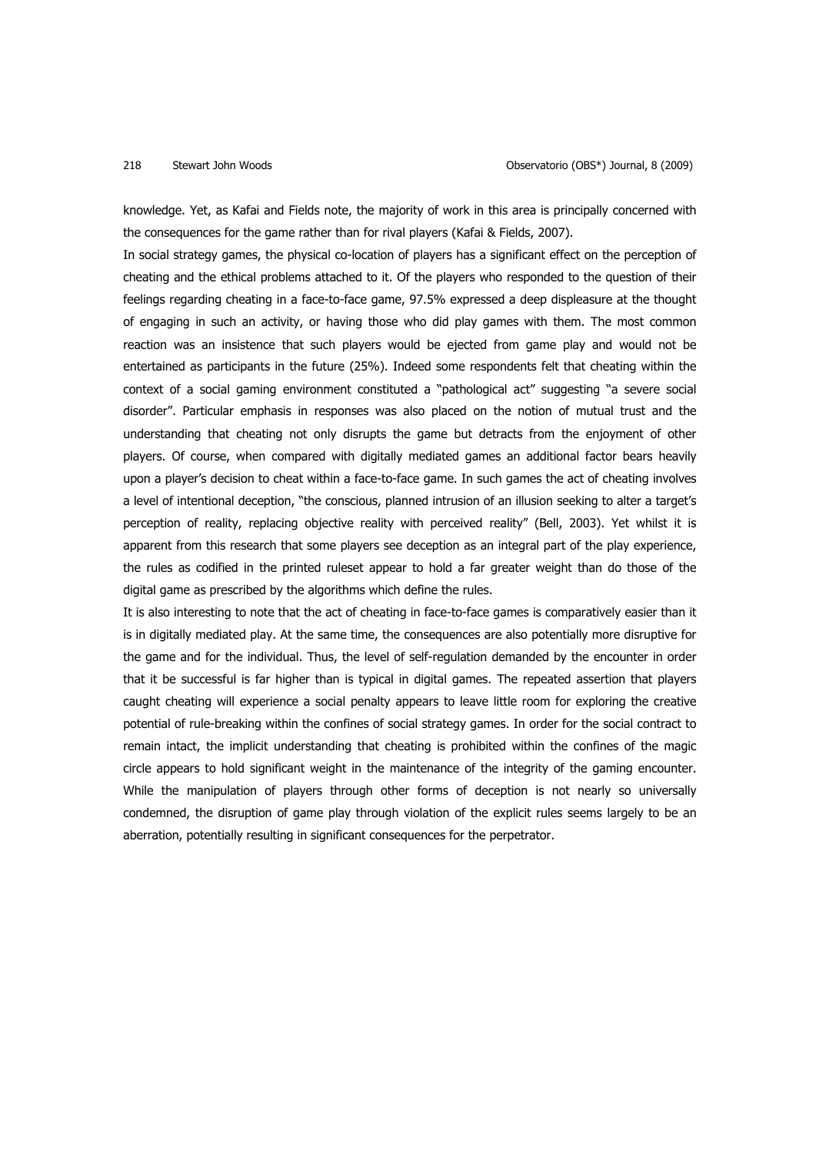knowledge. Yet, as Kafai and Fields note, the majority of work in this area is principally concerned with the consequences for the game rather than for rival players (Kafai & Fields, 2007).

In social strategy games, the physical co-location of players has a significant effect on the perception of cheating and the ethical problems attached to it. Of the players who responded to the question of their feelings regarding cheating in a face-to-face game, 97.5% expressed a deep displeasure at the thought of engaging in such an activity, or having those who did play games with them. The most common reaction was an insistence that such players would be ejected from game play and would not be entertained as participants in the future (25%). Indeed some respondents felt that cheating within the context of a social gaming environment constituted a "pathological act" suggesting "a severe social disorder". Particular emphasis in responses was also placed on the notion of mutual trust and the understanding that cheating not only disrupts the game but detracts from the enjoyment of other players. Of course, when compared with digitally mediated games an additional factor bears heavily upon a player's decision to cheat within a face-to-face game. In such games the act of cheating involves a level of intentional deception, "the conscious, planned intrusion of an illusion seeking to alter a target's perception of reality, replacing objective reality with perceived reality" (Bell, 2003). Yet whilst it is apparent from this research that some players see deception as an integral part of the play experience, the rules as codified in the printed ruleset appear to hold a far greater weight than do those of the digital game as prescribed by the algorithms which define the rules.

It is also interesting to note that the act of cheating in face-to-face games is comparatively easier than it is in digitally mediated play. At the same time, the consequences are also potentially more disruptive for the game and for the individual. Thus, the level of self-regulation demanded by the encounter in order that it be successful is far higher than is typical in digital games. The repeated assertion that players caught cheating will experience a social penalty appears to leave little room for exploring the creative potential of rule-breaking within the confines of social strategy games. In order for the social contract to remain intact, the implicit understanding that cheating is prohibited within the confines of the magic circle appears to hold significant weight in the maintenance of the integrity of the gaming encounter. While the manipulation of players through other forms of deception is not nearly so universally condemned, the disruption of game play through violation of the explicit rules seems largely to be an aberration, potentially resulting in significant consequences for the perpetrator.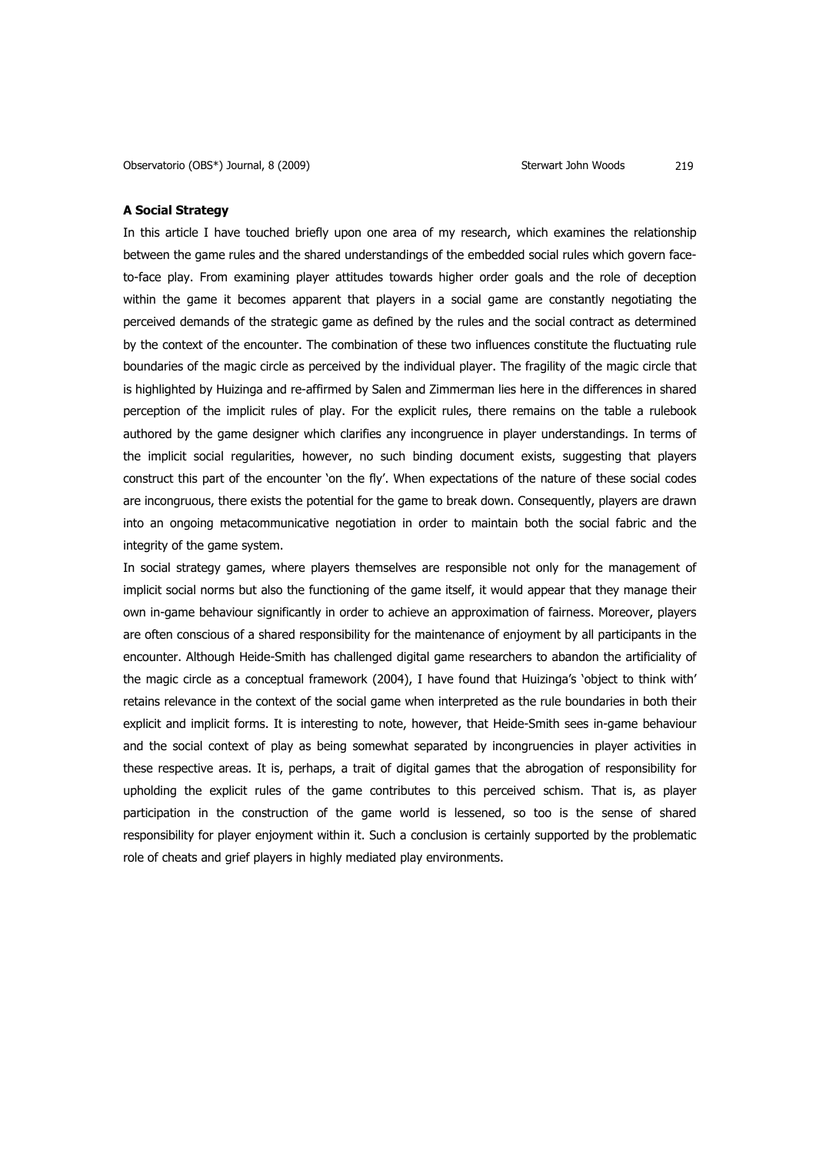## **A Social Strategy**

In this article I have touched briefly upon one area of my research, which examines the relationship between the game rules and the shared understandings of the embedded social rules which govern faceto-face play. From examining player attitudes towards higher order goals and the role of deception within the game it becomes apparent that players in a social game are constantly negotiating the perceived demands of the strategic game as defined by the rules and the social contract as determined by the context of the encounter. The combination of these two influences constitute the fluctuating rule boundaries of the magic circle as perceived by the individual player. The fragility of the magic circle that is highlighted by Huizinga and re-affirmed by Salen and Zimmerman lies here in the differences in shared perception of the implicit rules of play. For the explicit rules, there remains on the table a rulebook authored by the game designer which clarifies any incongruence in player understandings. In terms of the implicit social regularities, however, no such binding document exists, suggesting that players construct this part of the encounter 'on the fly'. When expectations of the nature of these social codes are incongruous, there exists the potential for the game to break down. Consequently, players are drawn into an ongoing metacommunicative negotiation in order to maintain both the social fabric and the integrity of the game system.

In social strategy games, where players themselves are responsible not only for the management of implicit social norms but also the functioning of the game itself, it would appear that they manage their own in-game behaviour significantly in order to achieve an approximation of fairness. Moreover, players are often conscious of a shared responsibility for the maintenance of enjoyment by all participants in the encounter. Although Heide-Smith has challenged digital game researchers to abandon the artificiality of the magic circle as a conceptual framework (2004), I have found that Huizinga's 'object to think with' retains relevance in the context of the social game when interpreted as the rule boundaries in both their explicit and implicit forms. It is interesting to note, however, that Heide-Smith sees in-game behaviour and the social context of play as being somewhat separated by incongruencies in player activities in these respective areas. It is, perhaps, a trait of digital games that the abrogation of responsibility for upholding the explicit rules of the game contributes to this perceived schism. That is, as player participation in the construction of the game world is lessened, so too is the sense of shared responsibility for player enjoyment within it. Such a conclusion is certainly supported by the problematic role of cheats and grief players in highly mediated play environments.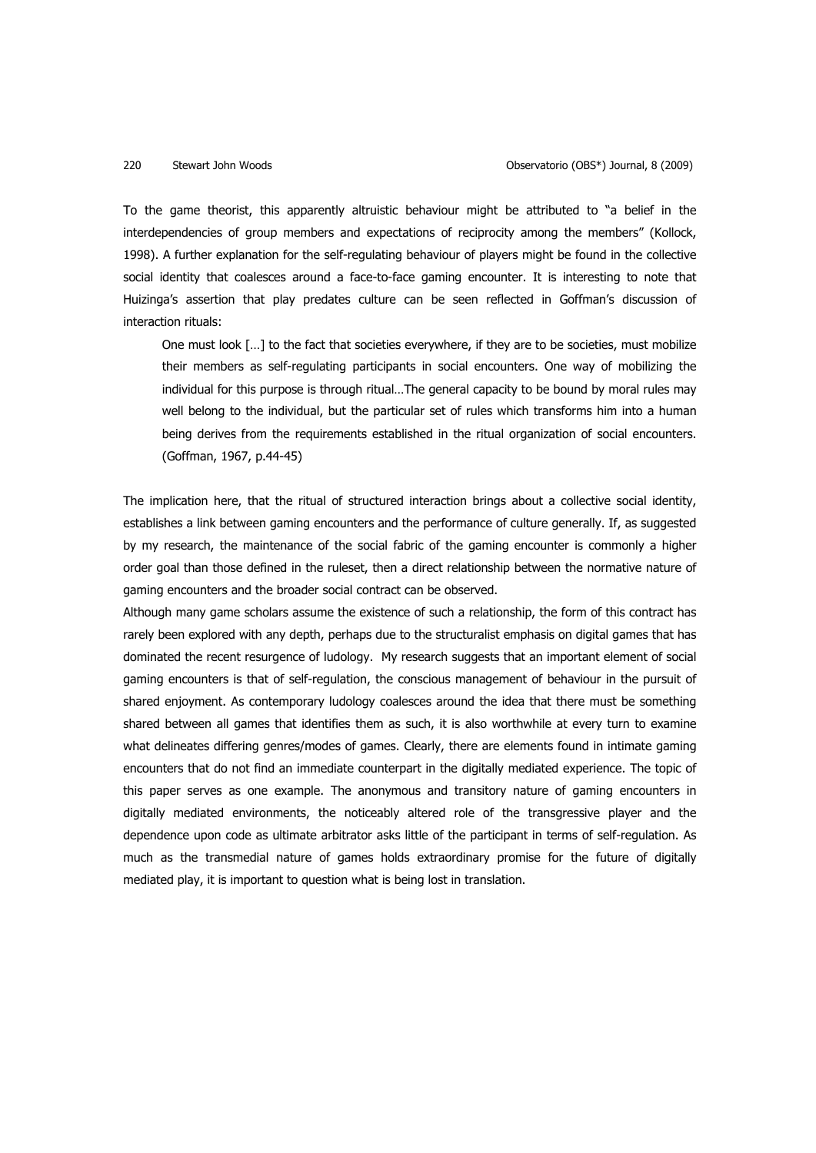To the game theorist, this apparently altruistic behaviour might be attributed to "a belief in the interdependencies of group members and expectations of reciprocity among the members" (Kollock, 1998). A further explanation for the self-regulating behaviour of players might be found in the collective social identity that coalesces around a face-to-face gaming encounter. It is interesting to note that Huizinga's assertion that play predates culture can be seen reflected in Goffman's discussion of interaction rituals:

One must look […] to the fact that societies everywhere, if they are to be societies, must mobilize their members as self-regulating participants in social encounters. One way of mobilizing the individual for this purpose is through ritual…The general capacity to be bound by moral rules may well belong to the individual, but the particular set of rules which transforms him into a human being derives from the requirements established in the ritual organization of social encounters. (Goffman, 1967, p.44-45)

The implication here, that the ritual of structured interaction brings about a collective social identity, establishes a link between gaming encounters and the performance of culture generally. If, as suggested by my research, the maintenance of the social fabric of the gaming encounter is commonly a higher order goal than those defined in the ruleset, then a direct relationship between the normative nature of gaming encounters and the broader social contract can be observed.

Although many game scholars assume the existence of such a relationship, the form of this contract has rarely been explored with any depth, perhaps due to the structuralist emphasis on digital games that has dominated the recent resurgence of ludology. My research suggests that an important element of social gaming encounters is that of self-regulation, the conscious management of behaviour in the pursuit of shared enjoyment. As contemporary ludology coalesces around the idea that there must be something shared between all games that identifies them as such, it is also worthwhile at every turn to examine what delineates differing genres/modes of games. Clearly, there are elements found in intimate gaming encounters that do not find an immediate counterpart in the digitally mediated experience. The topic of this paper serves as one example. The anonymous and transitory nature of gaming encounters in digitally mediated environments, the noticeably altered role of the transgressive player and the dependence upon code as ultimate arbitrator asks little of the participant in terms of self-regulation. As much as the transmedial nature of games holds extraordinary promise for the future of digitally mediated play, it is important to question what is being lost in translation.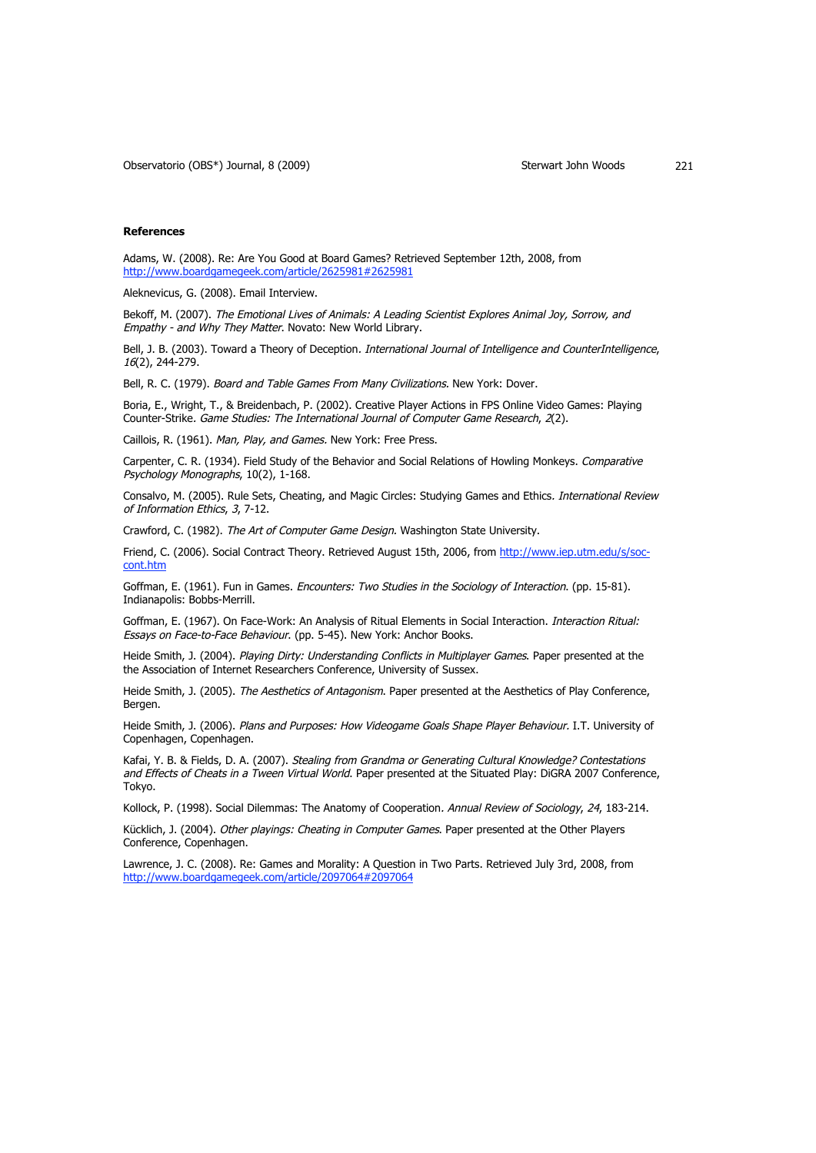## **References**

Adams, W. (2008). Re: Are You Good at Board Games? Retrieved September 12th, 2008, from http://www.boardgamegeek.com/article/2625981#2625981

Aleknevicus, G. (2008). Email Interview.

Bekoff, M. (2007). The Emotional Lives of Animals: A Leading Scientist Explores Animal Joy, Sorrow, and Empathy - and Why They Matter. Novato: New World Library.

Bell, J. B. (2003). Toward a Theory of Deception. International Journal of Intelligence and CounterIntelligence, 16(2), 244-279.

Bell, R. C. (1979). Board and Table Games From Many Civilizations. New York: Dover.

Boria, E., Wright, T., & Breidenbach, P. (2002). Creative Player Actions in FPS Online Video Games: Playing Counter-Strike. Game Studies: The International Journal of Computer Game Research, 2(2).

Caillois, R. (1961). Man, Play, and Games. New York: Free Press.

Carpenter, C. R. (1934). Field Study of the Behavior and Social Relations of Howling Monkeys. Comparative Psychology Monographs, 10(2), 1-168.

Consalvo, M. (2005). Rule Sets, Cheating, and Magic Circles: Studying Games and Ethics. International Review of Information Ethics, 3, 7-12.

Crawford, C. (1982). The Art of Computer Game Design. Washington State University.

Friend, C. (2006). Social Contract Theory. Retrieved August 15th, 2006, from http://www.iep.utm.edu/s/soccont.htm

Goffman, E. (1961). Fun in Games. Encounters: Two Studies in the Sociology of Interaction. (pp. 15-81). Indianapolis: Bobbs-Merrill.

Goffman, E. (1967). On Face-Work: An Analysis of Ritual Elements in Social Interaction. Interaction Ritual: Essays on Face-to-Face Behaviour. (pp. 5-45). New York: Anchor Books.

Heide Smith, J. (2004). Playing Dirty: Understanding Conflicts in Multiplayer Games. Paper presented at the the Association of Internet Researchers Conference, University of Sussex.

Heide Smith, J. (2005). The Aesthetics of Antagonism. Paper presented at the Aesthetics of Play Conference, Bergen.

Heide Smith, J. (2006). Plans and Purposes: How Videogame Goals Shape Player Behaviour. I.T. University of Copenhagen, Copenhagen.

Kafai, Y. B. & Fields, D. A. (2007). Stealing from Grandma or Generating Cultural Knowledge? Contestations and Effects of Cheats in a Tween Virtual World. Paper presented at the Situated Play: DiGRA 2007 Conference, Tokyo.

Kollock, P. (1998). Social Dilemmas: The Anatomy of Cooperation. Annual Review of Sociology, 24, 183-214.

Kücklich, J. (2004). Other playings: Cheating in Computer Games. Paper presented at the Other Players Conference, Copenhagen.

Lawrence, J. C. (2008). Re: Games and Morality: A Question in Two Parts. Retrieved July 3rd, 2008, from http://www.boardgamegeek.com/article/2097064#2097064